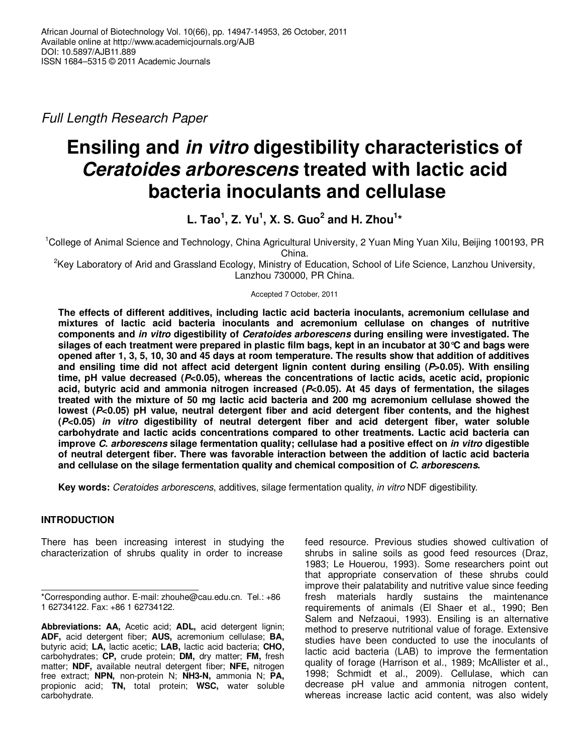Full Length Research Paper

# **Ensiling and in vitro digestibility characteristics of Ceratoides arborescens treated with lactic acid bacteria inoculants and cellulase**

**L. Tao<sup>1</sup> , Z. Yu<sup>1</sup> , X. S. Guo<sup>2</sup> and H. Zhou<sup>1</sup> \*** 

<sup>1</sup>College of Animal Science and Technology, China Agricultural University, 2 Yuan Ming Yuan Xilu, Beijing 100193, PR China.

<sup>2</sup>Key Laboratory of Arid and Grassland Ecology, Ministry of Education, School of Life Science, Lanzhou University, Lanzhou 730000, PR China.

Accepted 7 October, 2011

**The effects of different additives, including lactic acid bacteria inoculants, acremonium cellulase and mixtures of lactic acid bacteria inoculants and acremonium cellulase on changes of nutritive components and in vitro digestibility of Ceratoides arborescens during ensiling were investigated. The silages of each treatment were prepared in plastic film bags, kept in an incubator at 30°C and bags were opened after 1, 3, 5, 10, 30 and 45 days at room temperature. The results show that addition of additives and ensiling time did not affect acid detergent lignin content during ensiling (P>0.05). With ensiling time, pH value decreased (P<0.05), whereas the concentrations of lactic acids, acetic acid, propionic acid, butyric acid and ammonia nitrogen increased (P<0.05). At 45 days of fermentation, the silages treated with the mixture of 50 mg lactic acid bacteria and 200 mg acremonium cellulase showed the lowest (P<0.05) pH value, neutral detergent fiber and acid detergent fiber contents, and the highest (P<0.05) in vitro digestibility of neutral detergent fiber and acid detergent fiber, water soluble carbohydrate and lactic acids concentrations compared to other treatments. Lactic acid bacteria can improve C. arborescens silage fermentation quality; cellulase had a positive effect on in vitro digestible of neutral detergent fiber. There was favorable interaction between the addition of lactic acid bacteria and cellulase on the silage fermentation quality and chemical composition of C. arborescens.** 

**Key words:** Ceratoides arborescens, additives, silage fermentation quality, in vitro NDF digestibility.

# **INTRODUCTION**

There has been increasing interest in studying the characterization of shrubs quality in order to increase

**Abbreviations: AA,** Acetic acid; **ADL,** acid detergent lignin; **ADF,** acid detergent fiber; **AUS,** acremonium cellulase; **BA,** butyric acid; **LA,** lactic acetic; **LAB,** lactic acid bacteria; **CHO,** carbohydrates; **CP,** crude protein; **DM,** dry matter; **FM,** fresh matter; **NDF,** available neutral detergent fiber; **NFE,** nitrogen free extract; **NPN,** non-protein N; **NH3-N,** ammonia N; **PA,** propionic acid; **TN,** total protein; **WSC,** water soluble carbohydrate.

feed resource. Previous studies showed cultivation of shrubs in saline soils as good feed resources (Draz, 1983; Le Houerou, 1993). Some researchers point out that appropriate conservation of these shrubs could improve their palatability and nutritive value since feeding fresh materials hardly sustains the maintenance requirements of animals (El Shaer et al., 1990; Ben Salem and Nefzaoui, 1993). Ensiling is an alternative method to preserve nutritional value of forage. Extensive studies have been conducted to use the inoculants of lactic acid bacteria (LAB) to improve the fermentation quality of forage (Harrison et al., 1989; McAllister et al., 1998; Schmidt et al., 2009). Cellulase, which can decrease pH value and ammonia nitrogen content, whereas increase lactic acid content, was also widely

<sup>\*</sup>Corresponding author. E-mail: zhouhe@cau.edu.cn. Tel.: +86 1 62734122. Fax: +86 1 62734122.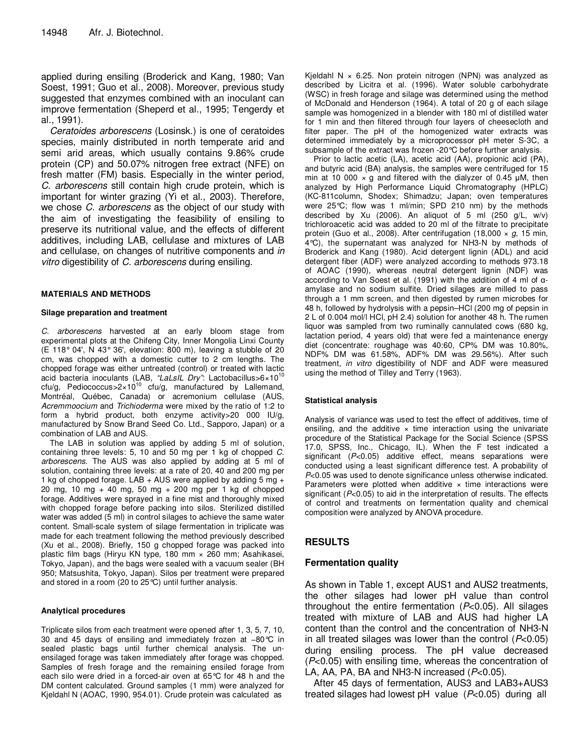applied during ensiling (Broderick and Kang, 1980; Van Soest, 1991; Guo et al., 2008). Moreover, previous study suggested that enzymes combined with an inoculant can improve fermentation (Sheperd et al., 1995; Tengerdy et al., 1991).

Ceratoides arborescens (Losinsk.) is one of ceratoides species, mainly distributed in north temperate arid and semi arid areas, which usually contains 9.86% crude protein (CP) and 50.07% nitrogen free extract (NFE) on fresh matter (FM) basis. Especially in the winter period, C. arborescens still contain high crude protein, which is important for winter grazing (Yi et al., 2003). Therefore, we chose C. arborescens as the object of our study with the aim of investigating the feasibility of ensiling to preserve its nutritional value, and the effects of different additives, including LAB, cellulase and mixtures of LAB and cellulase, on changes of nutritive components and in vitro digestibility of C. arborescens during ensiling.

#### **MATERIALS AND METHODS**

#### **Silage preparation and treatment**

C. arborescens harvested at an early bloom stage from experimental plots at the Chifeng City, Inner Mongolia Linxi County (E 118° 04', N 43° 36', elevation: 800 m), leaving a stubble of 20 cm, was chopped with a domestic cutter to 2 cm lengths. The chopped forage was either untreated (control) or treated with lactic<br>acid bacteria inoculants (LAB, *"LaLsIL Dry"*: Lactobacillus>6×10<sup>10</sup> cfu/g, Pediococcus>2×10<sup>10</sup> cfu/g, manufactured by Lallemand, Montréal, Québec, Canada) or acremonium cellulase (AUS, Acremmoocium and Trichioderma were mixed by the ratio of 1:2 to form a hybrid product, both enzyme activity>20 000 IU/g, manufactured by Snow Brand Seed Co. Ltd., Sapporo, Japan) or a combination of LAB and AUS.

The LAB in solution was applied by adding 5 ml of solution, containing three levels: 5, 10 and 50 mg per 1 kg of chopped C. arborescens. The AUS was also applied by adding at 5 ml of solution, containing three levels: at a rate of 20, 40 and 200 mg per 1 kg of chopped forage. LAB + AUS were applied by adding 5 mg + 20 mg, 10 mg + 40 mg, 50 mg + 200 mg per 1 kg of chopped forage. Additives were sprayed in a fine mist and thoroughly mixed with chopped forage before packing into silos. Sterilized distilled water was added (5 ml) in control silages to achieve the same water content. Small-scale system of silage fermentation in triplicate was made for each treatment following the method previously described (Xu et al., 2008). Briefly, 150 g chopped forage was packed into plastic film bags (Hiryu KN type, 180 mm × 260 mm; Asahikasei, Tokyo, Japan), and the bags were sealed with a vacuum sealer (BH 950; Matsushita, Tokyo, Japan). Silos per treatment were prepared and stored in a room (20 to 25°C) until further analysis.

#### **Analytical procedures**

Triplicate silos from each treatment were opened after 1, 3, 5, 7, 10, 30 and 45 days of ensiling and immediately frozen at −80°C in sealed plastic bags until further chemical analysis. The unensilaged forage was taken immediately after forage was chopped. Samples of fresh forage and the remaining ensiled forage from each silo were dried in a forced-air oven at 65°C for 48 h and the DM content calculated. Ground samples (1 mm) were analyzed for Kjeldahl N (AOAC, 1990, 954.01). Crude protein was calculated as

Kjeldahl N  $\times$  6.25. Non protein nitrogen (NPN) was analyzed as described by Licitra et al. (1996). Water soluble carbohydrate (WSC) in fresh forage and silage was determined using the method of McDonald and Henderson (1964). A total of 20 g of each silage sample was homogenized in a blender with 180 ml of distilled water for 1 min and then filtered through four layers of cheesecloth and filter paper. The pH of the homogenized water extracts was determined immediately by a microprocessor pH meter S-3C, a subsample of the extract was frozen -20°C before further analysis.

Prior to lactic acetic (LA), acetic acid (AA), propionic acid (PA), and butyric acid (BA) analysis, the samples were centrifuged for 15 min at 10 000  $\times$  g and filtered with the dialyzer of 0.45  $\mu$ M, then analyzed by High Performance Liquid Chromatography (HPLC) (KC-811column, Shodex; Shimadzu; Japan; oven temperatures were 25°C; flow was 1 ml/min; SPD 210 nm) by the methods described by Xu (2006). An aliquot of 5 ml (250 g/L, w/v) trichloroacetic acid was added to 20 ml of the filtrate to precipitate protein (Guo et al., 2008). After centrifugation (18,000  $\times$  g, 15 min, 4°C), the supernatant was analyzed for NH3-N by methods of Broderick and Kang (1980). Acid detergent lignin (ADL) and acid detergent fiber (ADF) were analyzed according to methods 973.18 of AOAC (1990), whereas neutral detergent lignin (NDF) was according to Van Soest et al. (1991) with the addition of 4 ml of αamylase and no sodium sulfite. Dried silages are milled to pass through a 1 mm screen, and then digested by rumen microbes for 48 h, followed by hydrolysis with a pepsin–HCl (200 mg of pepsin in 2 L of 0.004 mol/l HCl, pH 2.4) solution for another 48 h. The rumen liquor was sampled from two ruminally cannulated cows (680 kg, lactation period, 4 years old) that were fed a maintenance energy diet (concentrate: roughage was 40:60, CP% DM was 10.80%, NDF% DM was 61.58%, ADF% DM was 29.56%). After such treatment, in vitro digestibility of NDF and ADF were measured using the method of Tilley and Terry (1963).

#### **Statistical analysis**

Analysis of variance was used to test the effect of additives, time of ensiling, and the additive  $\times$  time interaction using the univariate procedure of the Statistical Package for the Social Science (SPSS 17.0, SPSS, Inc., Chicago, IL). When the F test indicated a significant (P<0.05) additive effect, means separations were conducted using a least significant difference test. A probability of P<0.05 was used to denote significance unless otherwise indicated. Parameters were plotted when additive  $\times$  time interactions were significant ( $P<0.05$ ) to aid in the interpretation of results. The effects of control and treatments on fermentation quality and chemical composition were analyzed by ANOVA procedure.

# **RESULTS**

## **Fermentation quality**

As shown in Table 1, except AUS1 and AUS2 treatments, the other silages had lower pH value than control throughout the entire fermentation  $(P<0.05)$ . All silages treated with mixture of LAB and AUS had higher LA content than the control and the concentration of NH3-N in all treated silages was lower than the control  $(P<0.05)$ during ensiling process. The pH value decreased (P<0.05) with ensiling time, whereas the concentration of LA, AA, PA, BA and NH3-N increased  $(P<0.05)$ .

After 45 days of fermentation, AUS3 and LAB3+AUS3 treated silages had lowest  $pH$  value ( $P<0.05$ ) during all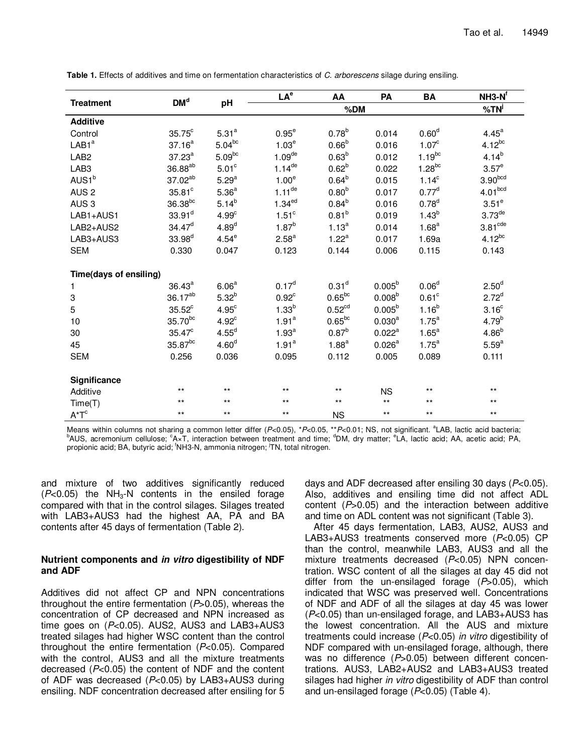|                        |                      | pH                | LA <sup>e</sup>      | AA                 | PA                 | <b>BA</b>         | $NH3-Nf$             |
|------------------------|----------------------|-------------------|----------------------|--------------------|--------------------|-------------------|----------------------|
| <b>Treatment</b>       | DM <sup>d</sup>      |                   |                      | % <sup>j</sup>     |                    |                   |                      |
| <b>Additive</b>        |                      |                   |                      |                    |                    |                   |                      |
| Control                | $35.75^{\circ}$      | 5.31 <sup>a</sup> | $0.95^e$             | $0.78^{b}$         | 0.014              | 0.60 <sup>d</sup> | $4.45^a$             |
| LAB1 <sup>a</sup>      | $37.16^{a}$          | $5.04^{bc}$       | 1.03 <sup>e</sup>    | 0.66 <sup>b</sup>  | 0.016              | 1.07 <sup>c</sup> | $4.12^{bc}$          |
| LAB <sub>2</sub>       | $37.23^a$            | $5.09^{bc}$       | $1.09$ <sup>de</sup> | $0.63^{b}$         | 0.012              | $1.19^{bc}$       | $4.14^{b}$           |
| LAB <sub>3</sub>       | 36.88 <sup>ab</sup>  | 5.01 <sup>c</sup> | $1.14^{de}$          | $0.62^{b}$         | 0.022              | $1.28^{bc}$       | 3.57 <sup>e</sup>    |
| AUS1 <sup>b</sup>      | 37.02 <sup>ab</sup>  | 5.29 <sup>a</sup> | 1.00 <sup>e</sup>    | $0.64^{b}$         | 0.015              | $1.14^c$          | 3.90 <sup>bcd</sup>  |
| AUS <sub>2</sub>       | $35.81^\circ$        | 5.36 <sup>a</sup> | $1.11$ <sup>de</sup> | 0.80 <sup>b</sup>  | 0.017              | $0.77^d$          | 4.01 <sup>bcd</sup>  |
| AUS <sub>3</sub>       | $36.38^{bc}$         | $5.14^{b}$        | 1.34 <sup>ed</sup>   | $0.84^{b}$         | 0.016              | $0.78^{d}$        | 3.51 <sup>e</sup>    |
| I AB1+AUS1             | $33.91$ <sup>d</sup> | 4.99 <sup>c</sup> | 1.51 <sup>c</sup>    | $0.81^{b}$         | 0.019              | $1.43^{b}$        | $3.73$ <sup>de</sup> |
| LAB2+AUS2              | $34.47^d$            | 4.89 <sup>d</sup> | $1.87^{b}$           | $1.13^{a}$         | 0.014              | 1.68 <sup>a</sup> | $3.81^{\text{cde}}$  |
| LAB3+AUS3              | $33.98^{d}$          | 4.54 <sup>e</sup> | 2.58 <sup>a</sup>    | $1.22^a$           | 0.017              | 1.69a             | $4.12^{bc}$          |
| <b>SEM</b>             | 0.330                | 0.047             | 0.123                | 0.144              | 0.006              | 0.115             | 0.143                |
|                        |                      |                   |                      |                    |                    |                   |                      |
| Time(days of ensiling) |                      |                   |                      |                    |                    |                   |                      |
| 1                      | $36.43^a$            | 6.06 <sup>a</sup> | $0.17^d$             | 0.31 <sup>d</sup>  | $0.005^b$          | 0.06 <sup>d</sup> | 2.50 <sup>d</sup>    |
| 3                      | $36.17^{ab}$         | $5.32^{b}$        | $0.92^c$             | $0.65^{bc}$        | 0.008 <sup>b</sup> | 0.61 <sup>c</sup> | $2.72^{d}$           |
| 5                      | $35.52^{\circ}$      | 4.95 <sup>c</sup> | $1.33^{b}$           | 0.52 <sup>cd</sup> | $0.005^{b}$        | $1.16^{b}$        | 3.16 <sup>c</sup>    |
| 10                     | $35.70^{bc}$         | 4.92 <sup>c</sup> | 1.91 <sup>a</sup>    | $0.65^{bc}$        | $0.030^{a}$        | $1.75^a$          | $4.79^{b}$           |
| 30                     | $35.47^{\circ}$      | $4.55^d$          | 1.93 <sup>a</sup>    | $0.87^{b}$         | $0.022^a$          | $1.65^{\text{a}}$ | $4.86^{b}$           |
| 45                     | $35.87^{bc}$         | 4.60 <sup>d</sup> | 1.91 <sup>a</sup>    | $1.88^{a}$         | 0.026 <sup>a</sup> | $1.75^a$          | $5.59^{a}$           |
| <b>SEM</b>             | 0.256                | 0.036             | 0.095                | 0.112              | 0.005              | 0.089             | 0.111                |
| Significance           |                      |                   |                      |                    |                    |                   |                      |
| Additive               | $***$                | $***$             | $***$                | $***$              | <b>NS</b>          | $***$             | $***$                |
| Time(T)                | $***$                | $***$             | $***$                | $***$              | $***$              | $***$             | $***$                |
| $A^{\star}T^{c}$       | $***$                | $***$             | $***$                | <b>NS</b>          | $***$              | $***$             | $***$                |

**Table 1.** Effects of additives and time on fermentation characteristics of C. arborescens silage during ensiling.

Means within columns not sharing a common letter differ (P<0.05), \*P<0.05, \*\*P<0.01; NS, not significant. <sup>a</sup>LAB, lactic acid bacteria;  $^{\rm b}$ AUS, acremonium cellulose;  $^{\rm c}$ A×T, interaction between treatment and time;  $^{\rm d}$ DM, dry matter;  $^{\rm e}$ LA, lactic acid; AA, acetic acid; PA, propionic acid; BA, butyric acid; <sup>f</sup>NH3-N, ammonia nitrogen; <sup>j</sup>TN, total nitrogen.

and mixture of two additives significantly reduced  $(P<0.05)$  the NH<sub>3</sub>-N contents in the ensiled forage compared with that in the control silages. Silages treated with LAB3+AUS3 had the highest AA, PA and BA contents after 45 days of fermentation (Table 2).

#### **Nutrient components and in vitro digestibility of NDF and ADF**

Additives did not affect CP and NPN concentrations throughout the entire fermentation  $(P>0.05)$ , whereas the concentration of CP decreased and NPN increased as time goes on  $(P<0.05)$ . AUS2, AUS3 and LAB3+AUS3 treated silages had higher WSC content than the control throughout the entire fermentation  $(P<0.05)$ . Compared with the control, AUS3 and all the mixture treatments decreased (P<0.05) the content of NDF and the content of ADF was decreased  $(P<0.05)$  by LAB3+AUS3 during ensiling. NDF concentration decreased after ensiling for 5 days and ADF decreased after ensiling 30 days ( $P<0.05$ ). Also, additives and ensiling time did not affect ADL content  $(P>0.05)$  and the interaction between additive and time on ADL content was not significant (Table 3).

After 45 days fermentation, LAB3, AUS2, AUS3 and LAB3+AUS3 treatments conserved more (P<0.05) CP than the control, meanwhile LAB3, AUS3 and all the mixture treatments decreased (P<0.05) NPN concentration. WSC content of all the silages at day 45 did not differ from the un-ensilaged forage  $(P>0.05)$ , which indicated that WSC was preserved well. Concentrations of NDF and ADF of all the silages at day 45 was lower (P<0.05) than un-ensilaged forage, and LAB3+AUS3 has the lowest concentration. All the AUS and mixture treatments could increase (P<0.05) in vitro digestibility of NDF compared with un-ensilaged forage, although, there was no difference  $(P>0.05)$  between different concentrations. AUS3, LAB2+AUS2 and LAB3+AUS3 treated silages had higher in vitro digestibility of ADF than control and un-ensilaged forage (P<0.05) (Table 4).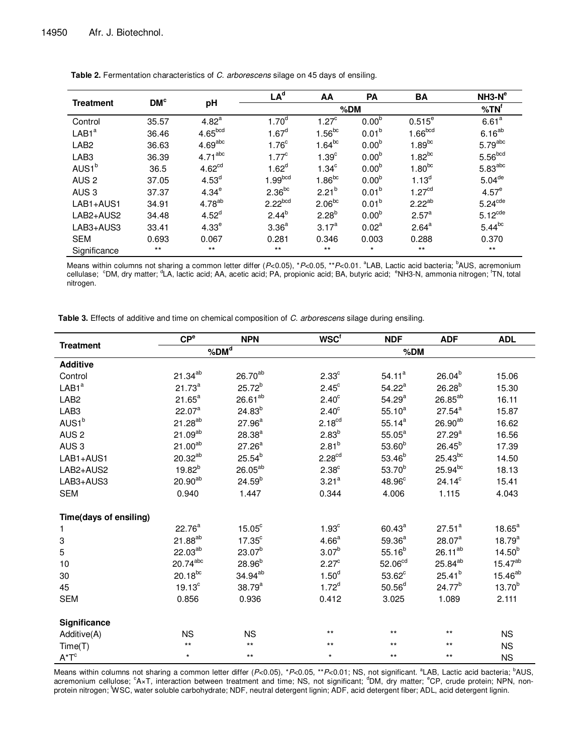| <b>Treatment</b>  |                 |                     | LA <sup>d</sup>     | AA                | <b>PA</b>         | <b>BA</b>            | $NH3-Ne$              |
|-------------------|-----------------|---------------------|---------------------|-------------------|-------------------|----------------------|-----------------------|
|                   | DM <sup>c</sup> | pH                  |                     | % <b>TN</b>       |                   |                      |                       |
| Control           | 35.57           | 4.82 <sup>a</sup>   | 1.70 <sup>d</sup>   | 1.27 <sup>c</sup> | 0.00 <sup>b</sup> | $0.515$ <sup>e</sup> | 6.61 <sup>a</sup>     |
| LAB1 <sup>a</sup> | 36.46           | 4.65 <sup>bcd</sup> | 1.67 <sup>d</sup>   | $1.56^{bc}$       | 0.01 <sup>b</sup> | 1.66 <sub>bcd</sub>  | $6.16^{ab}$           |
| LAB <sub>2</sub>  | 36.63           | 4.69 <sup>abc</sup> | 1.76 <sup>c</sup>   | $1.64^{bc}$       | 0.00 <sup>b</sup> | $1.89^{bc}$          | $5.79$ <sup>abc</sup> |
| LAB <sub>3</sub>  | 36.39           | $4.71^{\text{abc}}$ | $1.77^{\circ}$      | 1.39 <sup>c</sup> | 0.00 <sup>b</sup> | $1.82^{bc}$          | 5.56 <sub>bcd</sub>   |
| AUS1 <sup>b</sup> | 36.5            | 4.62 <sup>cd</sup>  | $1.62^d$            | 1.34 <sup>c</sup> | 0.00 <sup>b</sup> | $1.80^{bc}$          | $5.83$ <sup>abc</sup> |
| AUS <sub>2</sub>  | 37.05           | 4.53 <sup>d</sup>   | 1.99 <sup>bcd</sup> | $1.86^{bc}$       | 0.00 <sup>b</sup> | $1.13^{d}$           | $5.04$ <sup>de</sup>  |
| AUS <sub>3</sub>  | 37.37           | 4.34 <sup>e</sup>   | $2.36^{bc}$         | $2.21^{b}$        | 0.01 <sup>b</sup> | 1.27 <sup>cd</sup>   | 4.57 <sup>e</sup>     |
| LAB1+AUS1         | 34.91           | $4.78^{ab}$         | $2.22^{bcd}$        | $2.06^{bc}$       | 0.01 <sup>b</sup> | $2.22^{ab}$          | $5.24$ <sup>cde</sup> |
| LAB2+AUS2         | 34.48           | 4.52 <sup>d</sup>   | $2.44^{b}$          | $2.28^{b}$        | 0.00 <sup>b</sup> | 2.57 <sup>a</sup>    | 5.12 <sup>cde</sup>   |
| LAB3+AUS3         | 33.41           | 4.33 <sup>e</sup>   | 3.36 <sup>a</sup>   | $3.17^{a}$        | 0.02 <sup>a</sup> | $2.64^{a}$           | $5.44^{bc}$           |
| <b>SEM</b>        | 0.693           | 0.067               | 0.281               | 0.346             | 0.003             | 0.288                | 0.370                 |
| Significance      | $***$           | $***$               | $***$               | $***$             | $\star$           | $***$                | $***$                 |

Table 2. Fermentation characteristics of C. arborescens silage on 45 days of ensiling.

Means within columns not sharing a common letter differ (P<0.05), \*P<0.05, \*\*P<0.01. <sup>a</sup>LAB, Lactic acid bacteria; <sup>b</sup>AUS, acremonium cellulase; <sup>c</sup>DM, dry matter; <sup>d</sup>LA, lactic acid; AA, acetic acid; PA, propionic acid; BA, butyric acid; <sup>e</sup>NH3-N, ammonia nitrogen; <sup>f</sup>TN, total nitrogen.

Table 3. Effects of additive and time on chemical composition of C. arborescens silage during ensiling.

|                        | CP <sup>e</sup>        | <b>NPN</b>          | <b>WSC</b> <sup>f</sup> | <b>NDF</b>          | <b>ADF</b>          | <b>ADL</b>         |  |
|------------------------|------------------------|---------------------|-------------------------|---------------------|---------------------|--------------------|--|
| <b>Treatment</b>       | $%$ DM $d$             |                     |                         | %DM                 |                     |                    |  |
| <b>Additive</b>        |                        |                     |                         |                     |                     |                    |  |
| Control                | $21.34^{ab}$           | $26.70^{ab}$        | 2.33 <sup>c</sup>       | 54.11 <sup>a</sup>  | $26.04^{b}$         | 15.06              |  |
| LAB1 <sup>a</sup>      | $21.73^{a}$            | $25.72^{b}$         | $2.45^{\circ}$          | $54.22^a$           | $26.28^{b}$         | 15.30              |  |
| LAB <sub>2</sub>       | $21.65^a$              | $26.61^{ab}$        | 2.40 <sup>c</sup>       | 54.29 <sup>a</sup>  | $26.85^{ab}$        | 16.11              |  |
| LAB <sub>3</sub>       | $22.07^{\circ}$        | $24.83^{b}$         | 2.40 <sup>c</sup>       | $55.10^{a}$         | $27.54^{\circ}$     | 15.87              |  |
| AUS1 <sup>b</sup>      | $21.28^{ab}$           | $27.96^a$           | 2.18 <sup>cd</sup>      | $55.14^{a}$         | $26.90^{ab}$        | 16.62              |  |
| AUS <sub>2</sub>       | $21.09^{ab}$           | $28.38^{a}$         | $2.83^{b}$              | $55.05^{\circ}$     | $27.29^{a}$         | 16.56              |  |
| AUS <sub>3</sub>       | $21.00^{ab}$           | 27.26 <sup>a</sup>  | $2.81^{b}$              | $53.60^{b}$         | $26.45^{b}$         | 17.39              |  |
| LAB1+AUS1              | $20.32^{ab}$           | $25.54^{b}$         | 2.28 <sup>cd</sup>      | $53.46^{b}$         | $25.43^{bc}$        | 14.50              |  |
| LAB2+AUS2              | $19.82^{b}$            | $26.05^{ab}$        | 2.38 <sup>c</sup>       | $53.70^{b}$         | $25.94^{bc}$        | 18.13              |  |
| LAB3+AUS3              | $20.90^{ab}$           | $24.59^{b}$         | $3.21^{a}$              | 48.96°              | $24.14^c$           | 15.41              |  |
| <b>SEM</b>             | 0.940                  | 1.447               | 0.344                   | 4.006               | 1.115               | 4.043              |  |
|                        |                        |                     |                         |                     |                     |                    |  |
| Time(days of ensiling) |                        |                     |                         |                     |                     |                    |  |
| 1                      | $22.76^a$              | $15.05^{\circ}$     | 1.93 <sup>c</sup>       | $60.43^{\circ}$     | $27.51^a$           | $18.65^{\text{a}}$ |  |
| 3                      | 21.88 <sup>ab</sup>    | 17.35 <sup>c</sup>  | 4.66 <sup>a</sup>       | $59.36^{a}$         | 28.07 <sup>a</sup>  | $18.79^{a}$        |  |
| 5                      | $22.03^{ab}$           | $23.07^{b}$         | 3.07 <sup>b</sup>       | $55.16^{b}$         | $26.11^{ab}$        | $14.50^{b}$        |  |
| 10                     | $20.74$ <sup>abc</sup> | $28.96^{b}$         | $2.27^{\circ}$          | 52.06 <sup>cd</sup> | 25.84 <sup>ab</sup> | $15.47^{ab}$       |  |
| 30                     | $20.18^{bc}$           | 34.94 <sup>ab</sup> | 1.50 <sup>d</sup>       | $53.62^{\circ}$     | $25.41^{b}$         | $15.46^{ab}$       |  |
| 45                     | 19.13 <sup>c</sup>     | $38.79^{a}$         | $1.72^{d}$              | 50.56 <sup>d</sup>  | $24.77^{b}$         | $13.70^{b}$        |  |
| <b>SEM</b>             | 0.856                  | 0.936               | 0.412                   | 3.025               | 1.089               | 2.111              |  |
|                        |                        |                     |                         |                     |                     |                    |  |
| Significance           |                        |                     |                         |                     |                     |                    |  |
| Additive(A)            | <b>NS</b>              | <b>NS</b>           | $***$                   | $***$               | $***$               | <b>NS</b>          |  |
| Time(T)                | $***$                  | $***$               | $***$                   | $***$               | $***$               | <b>NS</b>          |  |
| $A^{\star}T^{c}$       | $\star$                | $***$               | $\star$                 | $***$               | $***$               | <b>NS</b>          |  |

Means within columns not sharing a common letter differ (P<0.05), \*P<0.05, \*\*P<0.01; NS, not significant. <sup>a</sup>LAB, Lactic acid bacteria; <sup>b</sup>AUS,<br>acremonium cellulose; <sup>c</sup>A×T, interaction between treatment and time; NS, not protein nitrogen; WSC, water soluble carbohydrate; NDF, neutral detergent lignin; ADF, acid detergent fiber; ADL, acid detergent lignin.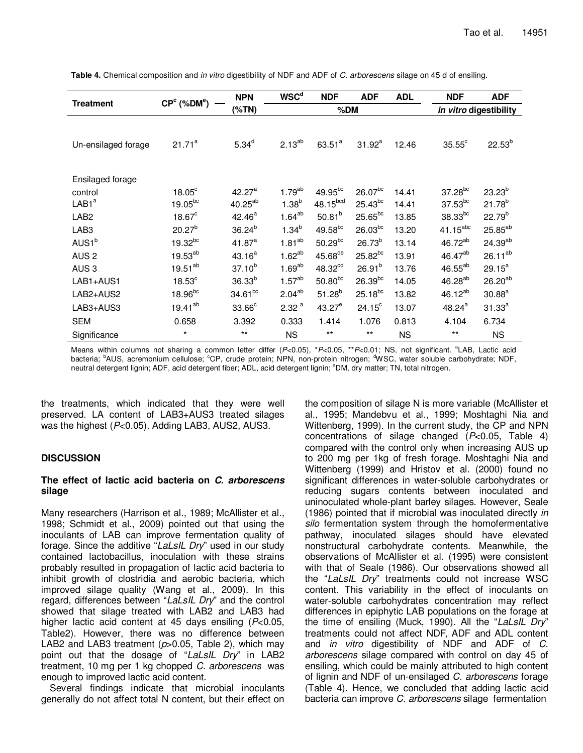| <b>Treatment</b>    | $CPc$ (%DM <sup>e</sup> ) | <b>NPN</b>         | <b>WSCd</b>       | <b>NDF</b>            | <b>ADF</b>             | <b>ADL</b> | <b>NDF</b>      | <b>ADF</b>          |
|---------------------|---------------------------|--------------------|-------------------|-----------------------|------------------------|------------|-----------------|---------------------|
|                     |                           | $(\%TN)$           |                   | %DM                   | in vitro digestibility |            |                 |                     |
|                     |                           |                    |                   |                       |                        |            |                 |                     |
| Un-ensilaged forage | $21.71^a$                 | $5.34^{d}$         | $2.13^{ab}$       | $63.51^{a}$           | $31.92^a$              | 12.46      | $35.55^{\circ}$ | $22.53^{b}$         |
|                     |                           |                    |                   |                       |                        |            |                 |                     |
| Ensilaged forage    |                           |                    |                   |                       |                        |            |                 |                     |
| control             | $18.05^{\circ}$           | 42.27 <sup>a</sup> | $1.79^{ab}$       | $49.95^{bc}$          | $26.07^{bc}$           | 14.41      | $37.28^{bc}$    | $23.23^{b}$         |
| LAB1 <sup>a</sup>   | $19.05^{bc}$              | $40.25^{ab}$       | $1.38^{b}$        | 48.15 <sup>bcd</sup>  | $25.43^{bc}$           | 14.41      | $37.53^{bc}$    | $21.78^{b}$         |
| LAB <sub>2</sub>    | $18.67^c$                 | $42.46^a$          | $1.64^{ab}$       | $50.81^{b}$           | $25.65^{bc}$           | 13.85      | $38.33^{bc}$    | $22.79^{b}$         |
| LAB <sub>3</sub>    | $20.27^{b}$               | $36.24^{b}$        | $1.34^{b}$        | $49.58^{bc}$          | $26.03^{bc}$           | 13.20      | $41.15^{abc}$   | 25.85 <sup>ab</sup> |
| AUS1 <sup>b</sup>   | $19.32^{bc}$              | 41.87 <sup>a</sup> | $1.81^{ab}$       | $50.29^{bc}$          | $26.73^{b}$            | 13.14      | $46.72^{ab}$    | $24.39^{ab}$        |
| AUS <sub>2</sub>    | $19.53^{ab}$              | $43.16^{a}$        | $1.62^{ab}$       | $45.68$ <sup>de</sup> | $25.82^{bc}$           | 13.91      | $46.47^{ab}$    | $26.11^{ab}$        |
| AUS <sub>3</sub>    | $19.51^{ab}$              | $37.10^{b}$        | $1.69^{ab}$       | 48.32 <sup>cd</sup>   | $26.91^{b}$            | 13.76      | $46.55^{ab}$    | $29.15^a$           |
| LAB1+AUS1           | $18.53^c$                 | $36.33^{b}$        | $1.57^{ab}$       | $50.80^{bc}$          | $26.39^{bc}$           | 14.05      | $46.28^{ab}$    | $26.20^{ab}$        |
| LAB2+AUS2           | 18.96 <sup>bc</sup>       | $34.61^{bc}$       | $2.04^{ab}$       | $51.28^{b}$           | $25.18^{bc}$           | 13.82      | $46.12^{ab}$    | $30.88^{a}$         |
| LAB3+AUS3           | $19.41^{ab}$              | $33.66^{\circ}$    | 2.32 <sup>a</sup> | $43.27^e$             | $24.15^{\circ}$        | 13.07      | $48.24^{a}$     | $31.33^{a}$         |
| <b>SEM</b>          | 0.658                     | 3.392              | 0.333             | 1.414                 | 1.076                  | 0.813      | 4.104           | 6.734               |
| Significance        | $\star$                   | $***$              | <b>NS</b>         | $***$                 | $***$                  | NS.        | $***$           | <b>NS</b>           |

**Table 4.** Chemical composition and in vitro digestibility of NDF and ADF of C. arborescens silage on 45 d of ensiling.

Means within columns not sharing a common letter differ (P<0.05), \*P<0.05, \*\*P<0.01; NS, not significant. <sup>a</sup>LAB, Lactic acid bacteria; <sup>b</sup>AUS, acremonium cellulose; <sup>c</sup>CP, crude protein; NPN, non-protein nitrogen; <sup>d</sup>WSC, water soluble carbohydrate; NDF, neutral detergent lignin; ADF, acid detergent fiber; ADL, acid detergent lignin; °DM, dry matter; TN, total nitrogen.

the treatments, which indicated that they were well preserved. LA content of LAB3+AUS3 treated silages was the highest (P<0.05). Adding LAB3, AUS2, AUS3.

# **DISCUSSION**

#### **The effect of lactic acid bacteria on C. arborescens silage**

Many researchers (Harrison et al., 1989; McAllister et al., 1998; Schmidt et al., 2009) pointed out that using the inoculants of LAB can improve fermentation quality of forage. Since the additive "LaLsIL Dry" used in our study contained lactobacillus, inoculation with these strains probably resulted in propagation of lactic acid bacteria to inhibit growth of clostridia and aerobic bacteria, which improved silage quality (Wang et al., 2009). In this regard, differences between "LaLsIL Dry" and the control showed that silage treated with LAB2 and LAB3 had higher lactic acid content at 45 days ensiling  $(P<0.05$ , Table2). However, there was no difference between LAB2 and LAB3 treatment ( $p > 0.05$ , Table 2), which may point out that the dosage of "LaLsIL Dry" in LAB2 treatment, 10 mg per 1 kg chopped C. arborescens was enough to improved lactic acid content.

Several findings indicate that microbial inoculants generally do not affect total N content, but their effect on

the composition of silage N is more variable (McAllister et al., 1995; Mandebvu et al., 1999; Moshtaghi Nia and Wittenberg, 1999). In the current study, the CP and NPN concentrations of silage changed  $(P<0.05,$  Table 4) compared with the control only when increasing AUS up to 200 mg per 1kg of fresh forage. Moshtaghi Nia and Wittenberg (1999) and Hristov et al. (2000) found no significant differences in water-soluble carbohydrates or reducing sugars contents between inoculated and uninoculated whole-plant barley silages. However, Seale (1986) pointed that if microbial was inoculated directly in silo fermentation system through the homofermentative pathway, inoculated silages should have elevated nonstructural carbohydrate contents. Meanwhile, the observations of McAllister et al. (1995) were consistent with that of Seale (1986). Our observations showed all the "LaLsIL Dry" treatments could not increase WSC content. This variability in the effect of inoculants on water-soluble carbohydrates concentration may reflect differences in epiphytic LAB populations on the forage at the time of ensiling (Muck, 1990). All the "LaLsIL Dry" treatments could not affect NDF, ADF and ADL content and in vitro digestibility of NDF and ADF of C. arborescens silage compared with control on day 45 of ensiling, which could be mainly attributed to high content of lignin and NDF of un-ensilaged C. arborescens forage (Table 4). Hence, we concluded that adding lactic acid bacteria can improve C. arborescens silage fermentation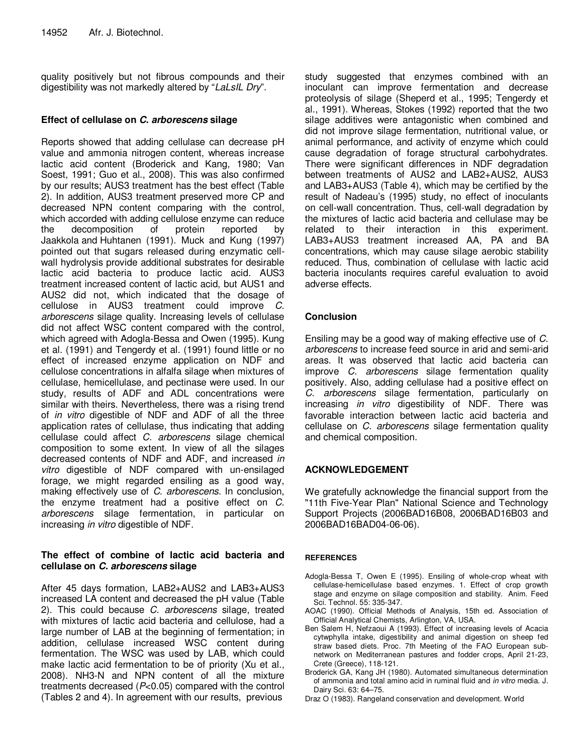quality positively but not fibrous compounds and their digestibility was not markedly altered by "LaLsIL Dry".

## **Effect of cellulase on C. arborescens silage**

Reports showed that adding cellulase can decrease pH value and ammonia nitrogen content, whereas increase lactic acid content (Broderick and Kang, 1980; Van Soest, 1991; Guo et al., 2008). This was also confirmed by our results; AUS3 treatment has the best effect (Table 2). In addition, AUS3 treatment preserved more CP and decreased NPN content comparing with the control, which accorded with adding cellulose enzyme can reduce the decomposition of protein reported by Jaakkola and Huhtanen (1991). Muck and Kung (1997) pointed out that sugars released during enzymatic cellwall hydrolysis provide additional substrates for desirable lactic acid bacteria to produce lactic acid. AUS3 treatment increased content of lactic acid, but AUS1 and AUS2 did not, which indicated that the dosage of cellulose in AUS3 treatment could improve C. arborescens silage quality. Increasing levels of cellulase did not affect WSC content compared with the control, which agreed with Adogla-Bessa and Owen (1995). Kung et al. (1991) and Tengerdy et al. (1991) found little or no effect of increased enzyme application on NDF and cellulose concentrations in alfalfa silage when mixtures of cellulase, hemicellulase, and pectinase were used. In our study, results of ADF and ADL concentrations were similar with theirs. Nevertheless, there was a rising trend of in vitro digestible of NDF and ADF of all the three application rates of cellulase, thus indicating that adding cellulase could affect C. arborescens silage chemical composition to some extent. In view of all the silages decreased contents of NDF and ADF, and increased in vitro digestible of NDF compared with un-ensilaged forage, we might regarded ensiling as a good way, making effectively use of C. arborescens. In conclusion, the enzyme treatment had a positive effect on C. arborescens silage fermentation, in particular on increasing in vitro digestible of NDF.

# **The effect of combine of lactic acid bacteria and cellulase on C. arborescens silage**

After 45 days formation, LAB2+AUS2 and LAB3+AUS3 increased LA content and decreased the pH value (Table 2). This could because C. arborescens silage, treated with mixtures of lactic acid bacteria and cellulose, had a large number of LAB at the beginning of fermentation; in addition, cellulase increased WSC content during fermentation. The WSC was used by LAB, which could make lactic acid fermentation to be of priority (Xu et al., 2008). NH3-N and NPN content of all the mixture treatments decreased (P<0.05) compared with the control (Tables 2 and 4). In agreement with our results, previous

study suggested that enzymes combined with an inoculant can improve fermentation and decrease proteolysis of silage (Sheperd et al., 1995; Tengerdy et al., 1991). Whereas, Stokes (1992) reported that the two silage additives were antagonistic when combined and did not improve silage fermentation, nutritional value, or animal performance, and activity of enzyme which could cause degradation of forage structural carbohydrates. There were significant differences in NDF degradation between treatments of AUS2 and LAB2+AUS2, AUS3 and LAB3+AUS3 (Table 4), which may be certified by the result of Nadeau's (1995) study, no effect of inoculants on cell-wall concentration. Thus, cell-wall degradation by the mixtures of lactic acid bacteria and cellulase may be related to their interaction in this experiment. LAB3+AUS3 treatment increased AA, PA and BA concentrations, which may cause silage aerobic stability reduced. Thus, combination of cellulase with lactic acid bacteria inoculants requires careful evaluation to avoid adverse effects.

# **Conclusion**

Ensiling may be a good way of making effective use of C. arborescens to increase feed source in arid and semi-arid areas. It was observed that lactic acid bacteria can improve C. arborescens silage fermentation quality positively. Also, adding cellulase had a positive effect on C. arborescens silage fermentation, particularly on increasing *in vitro* digestibility of NDF. There was favorable interaction between lactic acid bacteria and cellulase on C. arborescens silage fermentation quality and chemical composition.

## **ACKNOWLEDGEMENT**

We gratefully acknowledge the financial support from the "11th Five-Year Plan" National Science and Technology Support Projects (2006BAD16B08, 2006BAD16B03 and 2006BAD16BAD04-06-06).

## **REFERENCES**

- Adogla-Bessa T, Owen E (1995). Ensiling of whole-crop wheat with cellulase-hemicellulase based enzymes. 1. Effect of crop growth stage and enzyme on silage composition and stability. Anim. Feed Sci. Technol. 55: 335-347.
- AOAC (1990). Official Methods of Analysis, 15th ed. Association of Official Analytical Chemists, Arlington, VA, USA.
- Ben Salem H, Nefzaoui A (1993). Effect of increasing levels of Acacia cytwphylla intake, digestibility and animal digestion on sheep fed straw based diets. Proc. 7th Meeting of the FAO European subnetwork on Mediterranean pastures and fodder crops, April 21-23, Crete (Greece), 118-121.
- Broderick GA, Kang JH (1980). Automated simultaneous determination of ammonia and total amino acid in ruminal fluid and in vitro media. J. Dairy Sci. 63: 64–75.
- Draz O (1983). Rangeland conservation and development. World